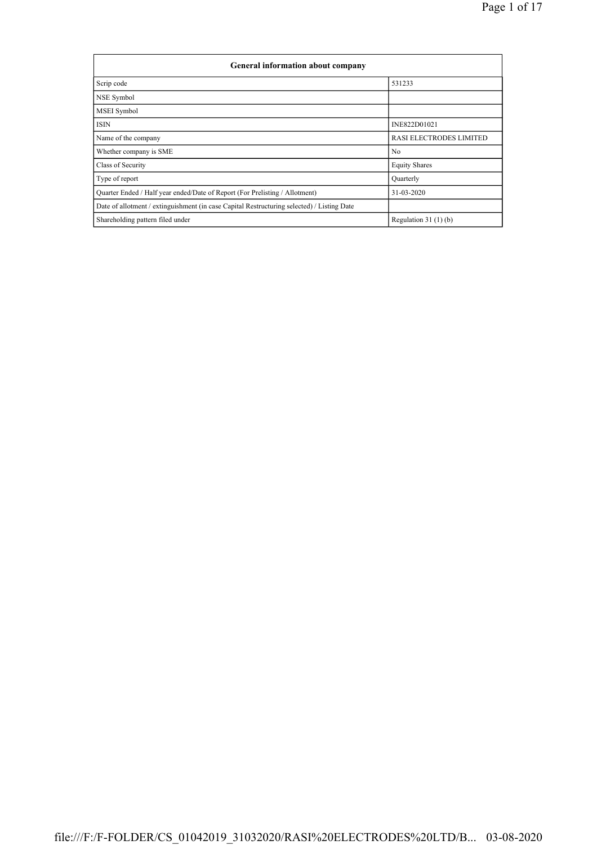| <b>General information about company</b>                                                   |                         |  |  |  |  |  |  |
|--------------------------------------------------------------------------------------------|-------------------------|--|--|--|--|--|--|
| Scrip code                                                                                 | 531233                  |  |  |  |  |  |  |
| NSE Symbol                                                                                 |                         |  |  |  |  |  |  |
| MSEI Symbol                                                                                |                         |  |  |  |  |  |  |
| <b>ISIN</b>                                                                                | INE822D01021            |  |  |  |  |  |  |
| Name of the company                                                                        | RASI ELECTRODES LIMITED |  |  |  |  |  |  |
| Whether company is SME                                                                     | No                      |  |  |  |  |  |  |
| Class of Security                                                                          | <b>Equity Shares</b>    |  |  |  |  |  |  |
| Type of report                                                                             | Ouarterly               |  |  |  |  |  |  |
| Quarter Ended / Half year ended/Date of Report (For Prelisting / Allotment)                | 31-03-2020              |  |  |  |  |  |  |
| Date of allotment / extinguishment (in case Capital Restructuring selected) / Listing Date |                         |  |  |  |  |  |  |
| Shareholding pattern filed under                                                           | Regulation $31(1)(b)$   |  |  |  |  |  |  |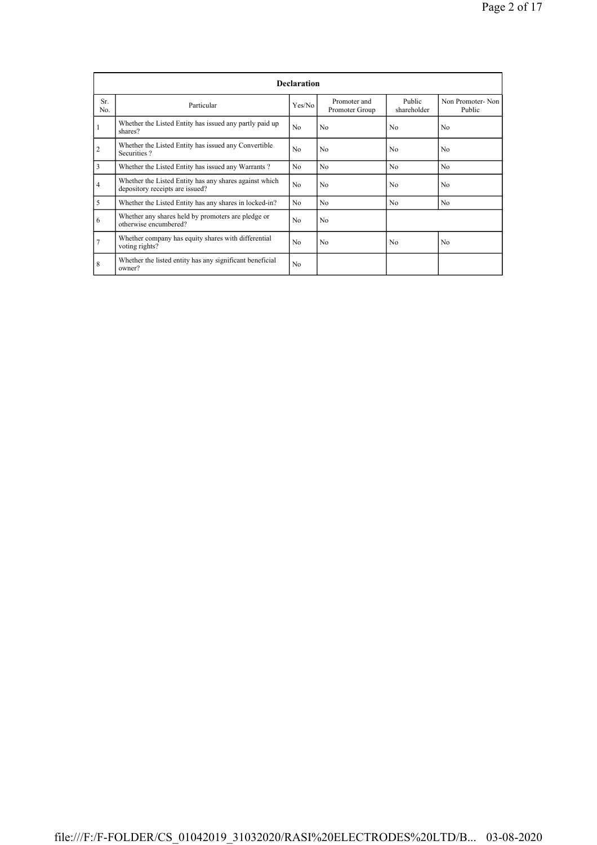|                | <b>Declaration</b>                                                                        |                |                                |                       |                            |  |  |  |  |  |
|----------------|-------------------------------------------------------------------------------------------|----------------|--------------------------------|-----------------------|----------------------------|--|--|--|--|--|
| Sr.<br>No.     | Particular                                                                                | Yes/No         | Promoter and<br>Promoter Group | Public<br>shareholder | Non Promoter-Non<br>Public |  |  |  |  |  |
|                | Whether the Listed Entity has issued any partly paid up<br>shares?                        | N <sub>0</sub> | N <sub>0</sub>                 | No                    | No                         |  |  |  |  |  |
| $\overline{2}$ | Whether the Listed Entity has issued any Convertible<br>Securities?                       | No             | N <sub>0</sub>                 | No                    | N <sub>0</sub>             |  |  |  |  |  |
| 3              | Whether the Listed Entity has issued any Warrants?                                        | N <sub>0</sub> | N <sub>0</sub>                 | N <sub>0</sub>        | N <sub>0</sub>             |  |  |  |  |  |
| $\overline{4}$ | Whether the Listed Entity has any shares against which<br>depository receipts are issued? | No             | N <sub>0</sub>                 | N <sub>0</sub>        | No                         |  |  |  |  |  |
| 5              | Whether the Listed Entity has any shares in locked-in?                                    | N <sub>0</sub> | N <sub>0</sub>                 | No                    | N <sub>0</sub>             |  |  |  |  |  |
| 6              | Whether any shares held by promoters are pledge or<br>otherwise encumbered?               | No             | N <sub>0</sub>                 |                       |                            |  |  |  |  |  |
| $\overline{7}$ | Whether company has equity shares with differential<br>voting rights?                     | No.            | N <sub>0</sub>                 | No                    | N <sub>0</sub>             |  |  |  |  |  |
| 8              | Whether the listed entity has any significant beneficial<br>owner?                        | No             |                                |                       |                            |  |  |  |  |  |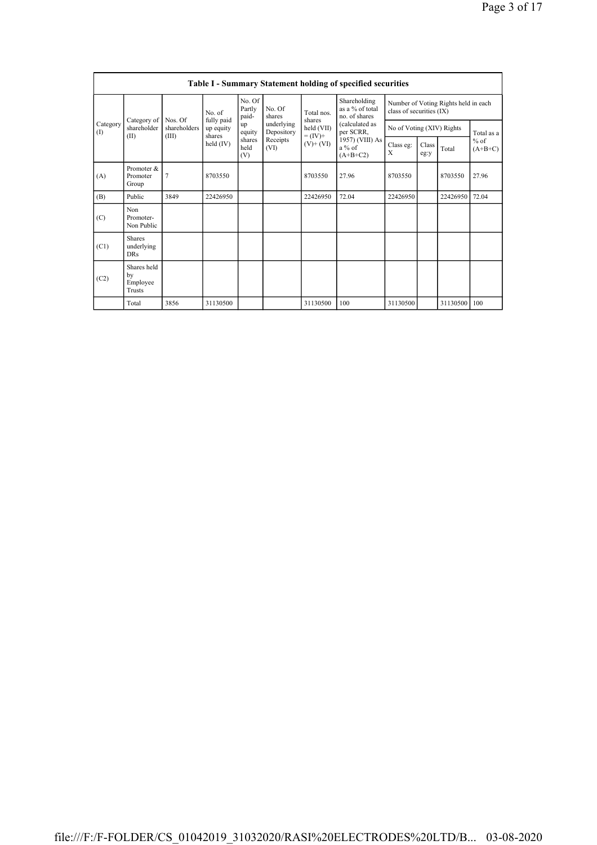|                 | <b>Table I - Summary Statement holding of specified securities</b> |                         |                               |                       |                                                                  |                                                      |                                                                          |                                                                  |               |          |                     |  |
|-----------------|--------------------------------------------------------------------|-------------------------|-------------------------------|-----------------------|------------------------------------------------------------------|------------------------------------------------------|--------------------------------------------------------------------------|------------------------------------------------------------------|---------------|----------|---------------------|--|
| Category<br>(1) |                                                                    |                         | No. of<br>paid-<br>fully paid | No. Of<br>Partly      | No. Of<br>shares<br>underlying<br>Depository<br>Receipts<br>(VI) | Total nos                                            | Shareholding<br>as a % of total<br>no. of shares                         | Number of Voting Rights held in each<br>class of securities (IX) |               |          |                     |  |
|                 | Category of<br>shareholder                                         | Nos. Of<br>shareholders | up equity                     | up<br>equity          |                                                                  | shares<br>held (VII)<br>$= (IV) +$<br>$(V)$ + $(VI)$ | (calculated as<br>per SCRR,<br>1957) (VIII) As<br>$a\%$ of<br>$(A+B+C2)$ | No of Voting (XIV) Rights                                        |               |          | Total as a          |  |
|                 | (II)                                                               | (III)                   | shares<br>held (IV)           | shares<br>held<br>(V) |                                                                  |                                                      |                                                                          | Class eg:<br>X                                                   | Class<br>eg:y | Total    | $%$ of<br>$(A+B+C)$ |  |
| (A)             | Promoter &<br>Promoter<br>Group                                    | 7                       | 8703550                       |                       |                                                                  | 8703550                                              | 27.96                                                                    | 8703550                                                          |               | 8703550  | 27.96               |  |
| (B)             | Public                                                             | 3849                    | 22426950                      |                       |                                                                  | 22426950                                             | 72.04                                                                    | 22426950                                                         |               | 22426950 | 72.04               |  |
| (C)             | Non<br>Promoter-<br>Non Public                                     |                         |                               |                       |                                                                  |                                                      |                                                                          |                                                                  |               |          |                     |  |
| (C1)            | <b>Shares</b><br>underlying<br><b>DRs</b>                          |                         |                               |                       |                                                                  |                                                      |                                                                          |                                                                  |               |          |                     |  |
| (C2)            | Shares held<br>by<br>Employee<br>Trusts                            |                         |                               |                       |                                                                  |                                                      |                                                                          |                                                                  |               |          |                     |  |
|                 | Total                                                              | 3856                    | 31130500                      |                       |                                                                  | 31130500                                             | 100                                                                      | 31130500                                                         |               | 31130500 | 100                 |  |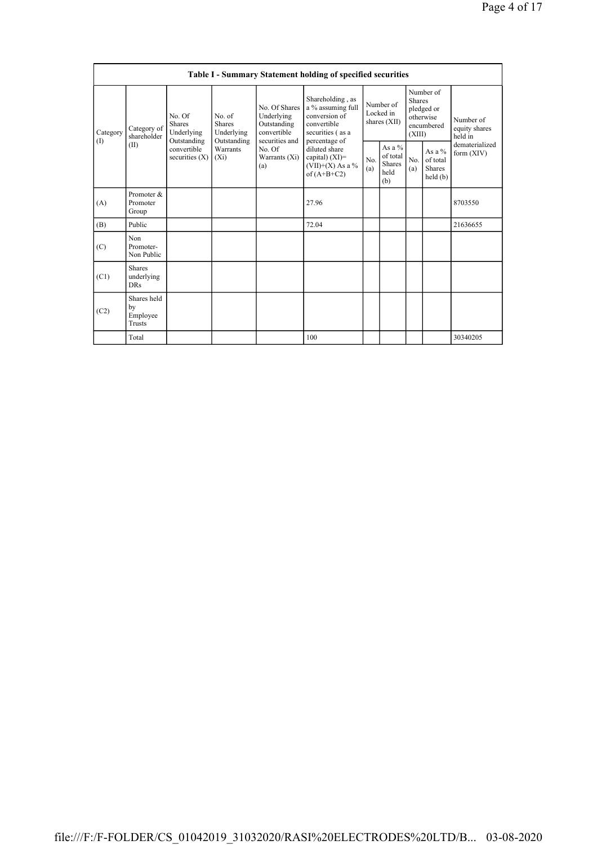|                 | Table I - Summary Statement holding of specified securities |                                                                                |                         |                                                                             |                                                                                                            |                                        |                                                      |                                                                               |                                                   |                                       |  |  |
|-----------------|-------------------------------------------------------------|--------------------------------------------------------------------------------|-------------------------|-----------------------------------------------------------------------------|------------------------------------------------------------------------------------------------------------|----------------------------------------|------------------------------------------------------|-------------------------------------------------------------------------------|---------------------------------------------------|---------------------------------------|--|--|
| Category<br>(1) | Category of<br>shareholder<br>(II)                          | No. Of<br>No. of<br><b>Shares</b><br><b>Shares</b><br>Underlying<br>Underlying |                         | No. Of Shares<br>Underlying<br>Outstanding<br>convertible<br>securities and | Shareholding, as<br>a % assuming full<br>conversion of<br>convertible<br>securities (as a<br>percentage of | Number of<br>Locked in<br>shares (XII) |                                                      | Number of<br><b>Shares</b><br>pledged or<br>otherwise<br>encumbered<br>(XIII) |                                                   | Number of<br>equity shares<br>held in |  |  |
|                 |                                                             | Outstanding<br>convertible<br>securities $(X)$<br>$(X_i)$                      | Outstanding<br>Warrants | No. Of<br>Warrants (Xi)<br>(a)                                              | diluted share<br>capital) $(XI)=$<br>$(VII)+(X)$ As a %<br>of $(A+B+C2)$                                   | No.<br>(a)                             | As a $%$<br>of total<br><b>Shares</b><br>held<br>(b) | No.<br>(a)                                                                    | As a $%$<br>of total<br><b>Shares</b><br>held (b) | dematerialized<br>form $(XIV)$        |  |  |
| (A)             | Promoter &<br>Promoter<br>Group                             |                                                                                |                         |                                                                             | 27.96                                                                                                      |                                        |                                                      |                                                                               |                                                   | 8703550                               |  |  |
| (B)             | Public                                                      |                                                                                |                         |                                                                             | 72.04                                                                                                      |                                        |                                                      |                                                                               |                                                   | 21636655                              |  |  |
| (C)             | Non<br>Promoter-<br>Non Public                              |                                                                                |                         |                                                                             |                                                                                                            |                                        |                                                      |                                                                               |                                                   |                                       |  |  |
| (C1)            | <b>Shares</b><br>underlying<br><b>DRs</b>                   |                                                                                |                         |                                                                             |                                                                                                            |                                        |                                                      |                                                                               |                                                   |                                       |  |  |
| (C2)            | Shares held<br>by<br>Employee<br>Trusts                     |                                                                                |                         |                                                                             |                                                                                                            |                                        |                                                      |                                                                               |                                                   |                                       |  |  |
|                 | Total                                                       |                                                                                |                         |                                                                             | 100                                                                                                        |                                        |                                                      |                                                                               |                                                   | 30340205                              |  |  |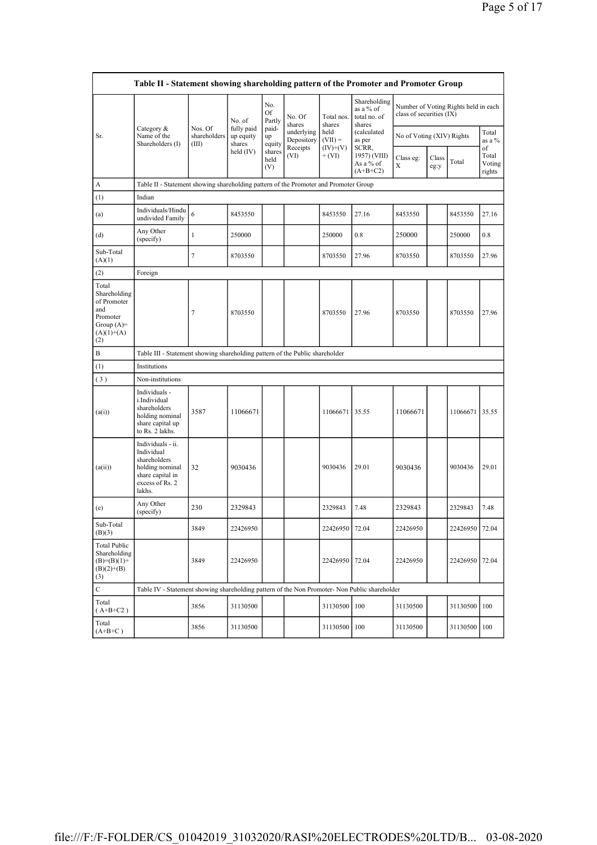| Table II - Statement showing shareholding pattern of the Promoter and Promoter Group           |                                                                                                                     |                                  |                                   |                       |                          |                        |                                                     |                                                                  |               |          |                                 |
|------------------------------------------------------------------------------------------------|---------------------------------------------------------------------------------------------------------------------|----------------------------------|-----------------------------------|-----------------------|--------------------------|------------------------|-----------------------------------------------------|------------------------------------------------------------------|---------------|----------|---------------------------------|
|                                                                                                |                                                                                                                     |                                  | No. of                            | No.<br>Of<br>Partly   | No. Of<br>shares         | Total nos.<br>shares   | Shareholding<br>as a % of<br>total no. of<br>shares | Number of Voting Rights held in each<br>class of securities (IX) |               |          |                                 |
| Sr.                                                                                            | Category $\&$<br>Name of the<br>Shareholders (I)                                                                    | Nos. Of<br>shareholders<br>(III) | fully paid<br>up equity<br>shares | paid-<br>up<br>equity | underlying<br>Depository | held<br>$(VII) =$      | (calculated<br>as per                               | No of Voting (XIV) Rights                                        |               |          | Total<br>as a $\%$              |
|                                                                                                |                                                                                                                     |                                  | held $(IV)$                       | shares<br>held<br>(V) | Receipts<br>(VI)         | $(IV)+(V)$<br>$+ (VI)$ | SCRR,<br>1957) (VIII)<br>As a % of<br>$(A+B+C2)$    | Class eg:<br>X                                                   | Class<br>eg:y | Total    | of<br>Total<br>Voting<br>rights |
| A                                                                                              | Table II - Statement showing shareholding pattern of the Promoter and Promoter Group                                |                                  |                                   |                       |                          |                        |                                                     |                                                                  |               |          |                                 |
| (1)                                                                                            | Indian                                                                                                              |                                  |                                   |                       |                          |                        |                                                     |                                                                  |               |          |                                 |
| (a)                                                                                            | Individuals/Hindu<br>undivided Family                                                                               | 6                                | 8453550                           |                       |                          | 8453550                | 27.16                                               | 8453550                                                          |               | 8453550  | 27.16                           |
| (d)                                                                                            | Any Other<br>(specify)                                                                                              | $\mathbf{1}$                     | 250000                            |                       |                          | 250000                 | 0.8                                                 | 250000                                                           |               | 250000   | 0.8                             |
| Sub-Total<br>(A)(1)                                                                            |                                                                                                                     | $\boldsymbol{7}$                 | 8703550                           |                       |                          | 8703550                | 27.96                                               | 8703550                                                          |               | 8703550  | 27.96                           |
| (2)                                                                                            | Foreign                                                                                                             |                                  |                                   |                       |                          |                        |                                                     |                                                                  |               |          |                                 |
| Total<br>Shareholding<br>of Promoter<br>and<br>Promoter<br>Group $(A)=$<br>$(A)(1)+(A)$<br>(2) |                                                                                                                     | 7                                | 8703550                           |                       |                          | 8703550                | 27.96                                               | 8703550                                                          |               | 8703550  | 27.96                           |
| B                                                                                              | Table III - Statement showing shareholding pattern of the Public shareholder                                        |                                  |                                   |                       |                          |                        |                                                     |                                                                  |               |          |                                 |
| (1)                                                                                            | Institutions                                                                                                        |                                  |                                   |                       |                          |                        |                                                     |                                                                  |               |          |                                 |
| (3)                                                                                            | Non-institutions                                                                                                    |                                  |                                   |                       |                          |                        |                                                     |                                                                  |               |          |                                 |
| (a(i))                                                                                         | Individuals -<br>i.Individual<br>shareholders<br>holding nominal<br>share capital up<br>to Rs. 2 lakhs.             | 3587                             | 11066671                          |                       |                          | 11066671               | 35.55                                               | 11066671                                                         |               | 11066671 | 35.55                           |
| (a(ii))                                                                                        | Individuals - ii.<br>Individual<br>shareholders<br>holding nominal<br>share capital in<br>excess of Rs. 2<br>lakhs. | 32                               | 9030436                           |                       |                          | 9030436                | 29.01                                               | 9030436                                                          |               | 9030436  | 29.01                           |
| (e)                                                                                            | Any Other<br>(specify)                                                                                              | 230                              | 2329843                           |                       |                          | 2329843                | 7.48                                                | 2329843                                                          |               | 2329843  | 7.48                            |
| Sub-Total<br>(B)(3)                                                                            |                                                                                                                     | 3849                             | 22426950                          |                       |                          | 22426950 72.04         |                                                     | 22426950                                                         |               | 22426950 | 72.04                           |
| <b>Total Public</b><br>Shareholding<br>$(B)= (B)(1) +$<br>$(B)(2)+(B)$<br>(3)                  |                                                                                                                     | 3849                             | 22426950                          |                       |                          | 22426950 72.04         |                                                     | 22426950                                                         |               | 22426950 | 72.04                           |
| C                                                                                              | Table IV - Statement showing shareholding pattern of the Non Promoter- Non Public shareholder                       |                                  |                                   |                       |                          |                        |                                                     |                                                                  |               |          |                                 |
| Total<br>$(A+B+C2)$                                                                            |                                                                                                                     | 3856                             | 31130500                          |                       |                          | 31130500               | 100                                                 | 31130500                                                         |               | 31130500 | 100                             |
| Total<br>$(A+B+C)$                                                                             |                                                                                                                     | 3856                             | 31130500                          |                       |                          | 31130500 100           |                                                     | 31130500                                                         |               | 31130500 | 100                             |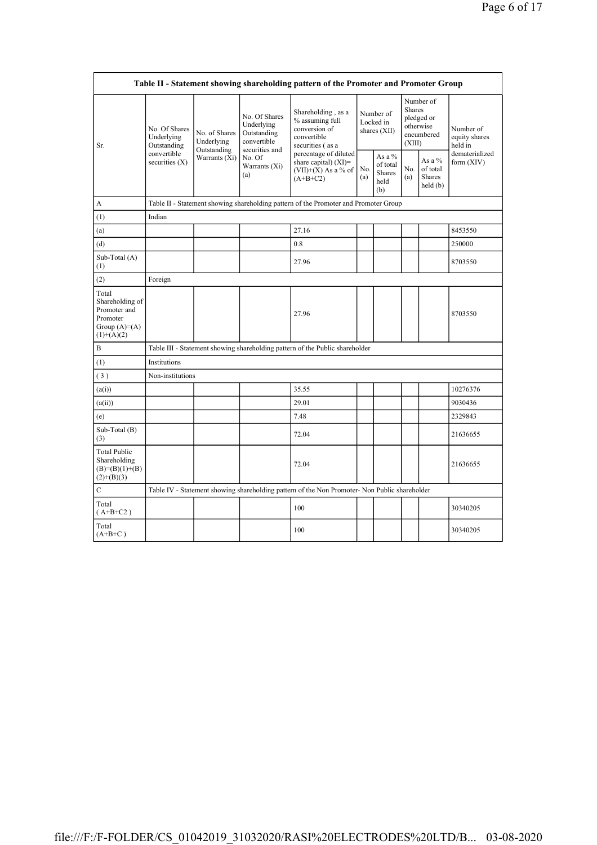| Table II - Statement showing shareholding pattern of the Promoter and Promoter Group   |                                                                               |                                                             |                                                                             |                                                                                               |                                        |                                                    |                                                                               |                                         |                                       |  |
|----------------------------------------------------------------------------------------|-------------------------------------------------------------------------------|-------------------------------------------------------------|-----------------------------------------------------------------------------|-----------------------------------------------------------------------------------------------|----------------------------------------|----------------------------------------------------|-------------------------------------------------------------------------------|-----------------------------------------|---------------------------------------|--|
| Sr.                                                                                    | No. Of Shares<br>Underlying<br>Outstanding<br>convertible<br>securities $(X)$ | No. of Shares<br>Underlying<br>Outstanding<br>Warrants (Xi) | No. Of Shares<br>Underlying<br>Outstanding<br>convertible<br>securities and | Shareholding, as a<br>% assuming full<br>conversion of<br>convertible<br>securities (as a     | Number of<br>Locked in<br>shares (XII) |                                                    | Number of<br><b>Shares</b><br>pledged or<br>otherwise<br>encumbered<br>(XIII) |                                         | Number of<br>equity shares<br>held in |  |
|                                                                                        |                                                                               |                                                             | No. Of<br>Warrants (Xi)<br>(a)                                              | percentage of diluted<br>share capital) $(XI)$ =<br>$(VII)+(X)$ As a % of<br>$(A+B+C2)$       | No.<br>(a)                             | As a %<br>of total<br><b>Shares</b><br>held<br>(b) | No.<br>(a)                                                                    | As a %<br>of total<br>Shares<br>held(b) | dematerialized<br>form (XIV)          |  |
| A                                                                                      |                                                                               |                                                             |                                                                             | Table II - Statement showing shareholding pattern of the Promoter and Promoter Group          |                                        |                                                    |                                                                               |                                         |                                       |  |
| (1)                                                                                    | Indian                                                                        |                                                             |                                                                             |                                                                                               |                                        |                                                    |                                                                               |                                         |                                       |  |
| (a)                                                                                    |                                                                               |                                                             |                                                                             | 27.16                                                                                         |                                        |                                                    |                                                                               |                                         | 8453550                               |  |
| (d)                                                                                    |                                                                               |                                                             |                                                                             | 0.8                                                                                           |                                        |                                                    |                                                                               |                                         | 250000                                |  |
| Sub-Total (A)<br>(1)                                                                   |                                                                               |                                                             |                                                                             | 27.96                                                                                         |                                        |                                                    |                                                                               |                                         | 8703550                               |  |
| (2)                                                                                    | Foreign                                                                       |                                                             |                                                                             |                                                                                               |                                        |                                                    |                                                                               |                                         |                                       |  |
| Total<br>Shareholding of<br>Promoter and<br>Promoter<br>Group $(A)=A)$<br>$(1)+(A)(2)$ |                                                                               |                                                             |                                                                             | 27.96                                                                                         |                                        |                                                    |                                                                               |                                         | 8703550                               |  |
| B                                                                                      |                                                                               |                                                             |                                                                             | Table III - Statement showing shareholding pattern of the Public shareholder                  |                                        |                                                    |                                                                               |                                         |                                       |  |
| (1)                                                                                    | Institutions                                                                  |                                                             |                                                                             |                                                                                               |                                        |                                                    |                                                                               |                                         |                                       |  |
| (3)                                                                                    | Non-institutions                                                              |                                                             |                                                                             |                                                                                               |                                        |                                                    |                                                                               |                                         |                                       |  |
| (a(i))                                                                                 |                                                                               |                                                             |                                                                             | 35.55                                                                                         |                                        |                                                    |                                                                               |                                         | 10276376                              |  |
| (a(ii))                                                                                |                                                                               |                                                             |                                                                             | 29.01                                                                                         |                                        |                                                    |                                                                               |                                         | 9030436                               |  |
| (e)                                                                                    |                                                                               |                                                             |                                                                             | 7.48                                                                                          |                                        |                                                    |                                                                               |                                         | 2329843                               |  |
| Sub-Total (B)<br>(3)                                                                   |                                                                               |                                                             |                                                                             | 72.04                                                                                         |                                        |                                                    |                                                                               |                                         | 21636655                              |  |
| <b>Total Public</b><br>Shareholding<br>$(B)= (B)(1)+(B)$<br>$(2)+(B)(3)$               |                                                                               |                                                             |                                                                             | 72.04                                                                                         |                                        |                                                    |                                                                               |                                         | 21636655                              |  |
| $\mathbf C$                                                                            |                                                                               |                                                             |                                                                             | Table IV - Statement showing shareholding pattern of the Non Promoter- Non Public shareholder |                                        |                                                    |                                                                               |                                         |                                       |  |
| Total<br>$(A+B+C2)$                                                                    |                                                                               |                                                             |                                                                             | 100                                                                                           |                                        |                                                    |                                                                               |                                         | 30340205                              |  |
| Total<br>$(A+B+C)$                                                                     |                                                                               |                                                             |                                                                             | 100                                                                                           |                                        |                                                    |                                                                               |                                         | 30340205                              |  |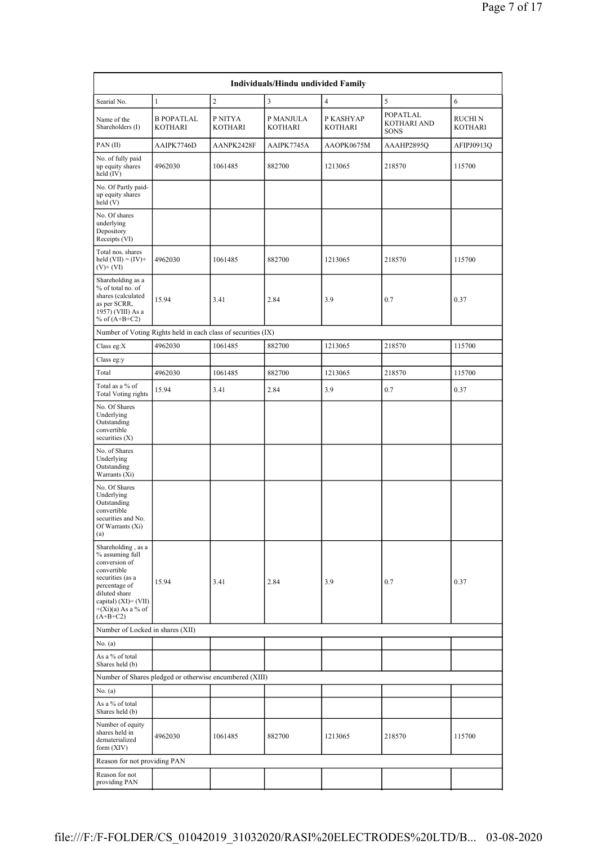| Individuals/Hindu undivided Family                                                                                                                                                        |                                                               |                           |                             |                             |                                        |                    |  |  |  |  |
|-------------------------------------------------------------------------------------------------------------------------------------------------------------------------------------------|---------------------------------------------------------------|---------------------------|-----------------------------|-----------------------------|----------------------------------------|--------------------|--|--|--|--|
| Searial No.                                                                                                                                                                               | $\mathbf{1}$                                                  | $\overline{2}$            | 3                           | $\overline{4}$              | 5                                      | 6                  |  |  |  |  |
| Name of the<br>Shareholders (I)                                                                                                                                                           | <b>B POPATLAL</b><br>KOTHARI                                  | P NITYA<br><b>KOTHARI</b> | P MANJULA<br><b>KOTHARI</b> | P KASHYAP<br><b>KOTHARI</b> | POPATLAL<br>KOTHARI AND<br><b>SONS</b> | RUCHI N<br>KOTHARI |  |  |  |  |
| PAN(II)                                                                                                                                                                                   | AAIPK7746D                                                    | AANPK2428F                | AAIPK7745A                  | AAOPK0675M                  | AAAHP2895Q                             | AFIPJ0913Q         |  |  |  |  |
| No. of fully paid<br>up equity shares<br>held (IV)                                                                                                                                        | 4962030                                                       | 1061485                   | 882700                      | 1213065                     | 218570                                 | 115700             |  |  |  |  |
| No. Of Partly paid-<br>up equity shares<br>held(V)                                                                                                                                        |                                                               |                           |                             |                             |                                        |                    |  |  |  |  |
| No. Of shares<br>underlying<br>Depository<br>Receipts (VI)                                                                                                                                |                                                               |                           |                             |                             |                                        |                    |  |  |  |  |
| Total nos. shares<br>held $(VII) = (IV) +$<br>$(V)$ + $(VI)$                                                                                                                              | 4962030                                                       | 1061485                   | 882700                      | 1213065                     | 218570                                 | 115700             |  |  |  |  |
| Shareholding as a<br>% of total no. of<br>shares (calculated<br>as per SCRR,<br>1957) (VIII) As a<br>% of $(A+B+C2)$                                                                      | 15.94                                                         | 3.41                      | 2.84                        | 3.9                         | 0.7                                    | 0.37               |  |  |  |  |
|                                                                                                                                                                                           | Number of Voting Rights held in each class of securities (IX) |                           |                             |                             |                                        |                    |  |  |  |  |
| Class eg: $X$                                                                                                                                                                             | 4962030                                                       | 1061485                   | 882700                      | 1213065                     | 218570                                 | 115700             |  |  |  |  |
| Class eg:y                                                                                                                                                                                |                                                               |                           |                             |                             |                                        |                    |  |  |  |  |
| Total                                                                                                                                                                                     | 4962030                                                       | 1061485                   | 882700                      | 1213065                     | 218570                                 | 115700             |  |  |  |  |
| Total as a $\%$ of<br><b>Total Voting rights</b>                                                                                                                                          | 15.94                                                         | 3.41                      | 2.84                        | 3.9                         | 0.7                                    | 0.37               |  |  |  |  |
| No. Of Shares<br>Underlying<br>Outstanding<br>convertible<br>securities $(X)$                                                                                                             |                                                               |                           |                             |                             |                                        |                    |  |  |  |  |
| No. of Shares<br>Underlying<br>Outstanding<br>Warrants (Xi)                                                                                                                               |                                                               |                           |                             |                             |                                        |                    |  |  |  |  |
| No. Of Shares<br>Underlying<br>Outstanding<br>convertible<br>securities and No.<br>Of Warrants (Xi)<br>(a)                                                                                |                                                               |                           |                             |                             |                                        |                    |  |  |  |  |
| Shareholding, as a<br>% assuming full<br>conversion of<br>convertible<br>securities (as a<br>percentage of<br>diluted share<br>capital) (XI)= (VII)<br>$+(Xi)(a)$ As a % of<br>$(A+B+C2)$ | 15.94                                                         | 3.41                      | 2.84                        | 3.9                         | 0.7                                    | 0.37               |  |  |  |  |
| Number of Locked in shares (XII)                                                                                                                                                          |                                                               |                           |                             |                             |                                        |                    |  |  |  |  |
| No. (a)                                                                                                                                                                                   |                                                               |                           |                             |                             |                                        |                    |  |  |  |  |
| As a % of total<br>Shares held (b)                                                                                                                                                        |                                                               |                           |                             |                             |                                        |                    |  |  |  |  |
|                                                                                                                                                                                           | Number of Shares pledged or otherwise encumbered (XIII)       |                           |                             |                             |                                        |                    |  |  |  |  |
| No. (a)                                                                                                                                                                                   |                                                               |                           |                             |                             |                                        |                    |  |  |  |  |
| As a % of total<br>Shares held (b)                                                                                                                                                        |                                                               |                           |                             |                             |                                        |                    |  |  |  |  |
| Number of equity<br>shares held in<br>dematerialized<br>form (XIV)                                                                                                                        | 4962030                                                       | 1061485                   | 882700                      | 1213065                     | 218570                                 | 115700             |  |  |  |  |
| Reason for not providing PAN                                                                                                                                                              |                                                               |                           |                             |                             |                                        |                    |  |  |  |  |
| Reason for not<br>providing PAN                                                                                                                                                           |                                                               |                           |                             |                             |                                        |                    |  |  |  |  |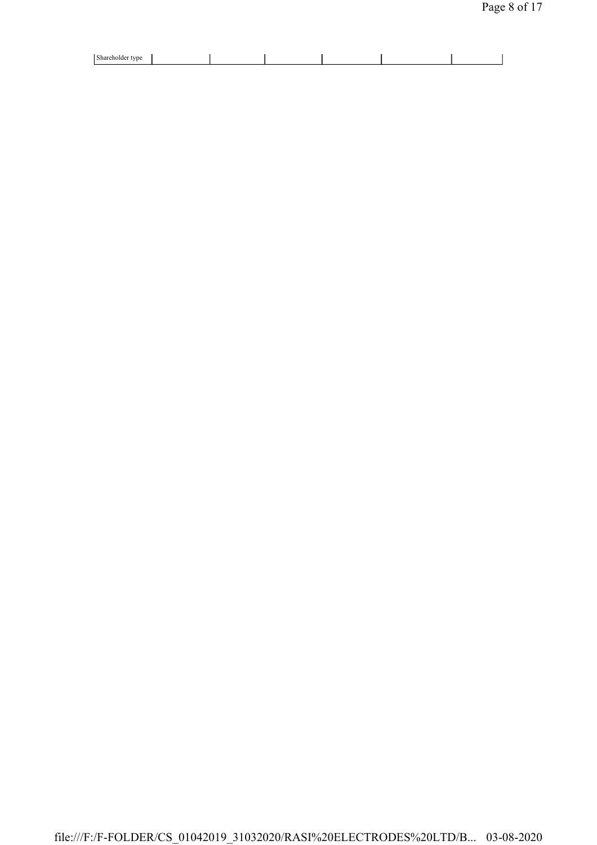| Shareholder type |  |  |  |
|------------------|--|--|--|
|                  |  |  |  |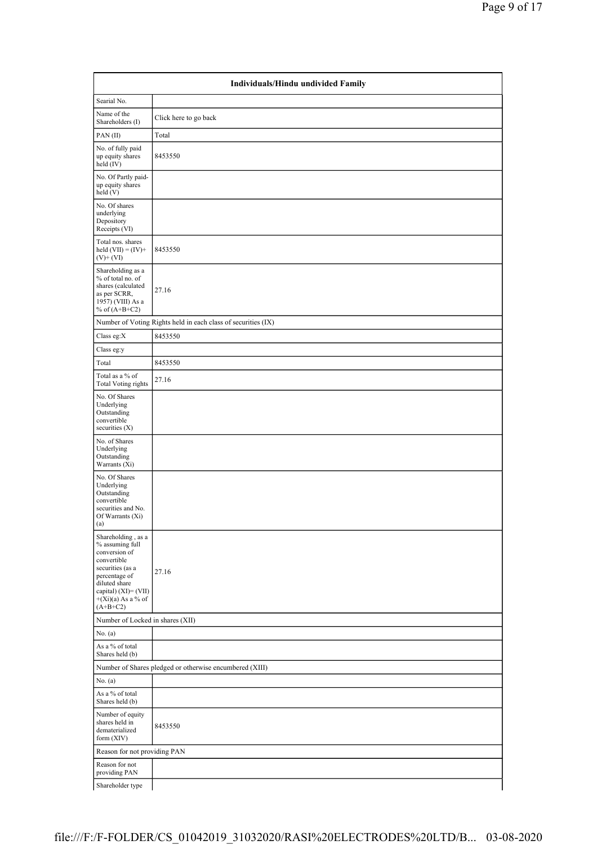|                                                                                                                                                                                              | Individuals/Hindu undivided Family                            |
|----------------------------------------------------------------------------------------------------------------------------------------------------------------------------------------------|---------------------------------------------------------------|
| Searial No.                                                                                                                                                                                  |                                                               |
| Name of the<br>Shareholders (I)                                                                                                                                                              | Click here to go back                                         |
| PAN(II)                                                                                                                                                                                      | Total                                                         |
| No. of fully paid<br>up equity shares<br>held (IV)                                                                                                                                           | 8453550                                                       |
| No. Of Partly paid-<br>up equity shares<br>held(V)                                                                                                                                           |                                                               |
| No. Of shares<br>underlying<br>Depository<br>Receipts (VI)                                                                                                                                   |                                                               |
| Total nos. shares<br>held $(VII) = (IV) +$<br>$(V) + (VI)$                                                                                                                                   | 8453550                                                       |
| Shareholding as a<br>% of total no. of<br>shares (calculated<br>as per SCRR,<br>1957) (VIII) As a<br>% of $(A+B+C2)$                                                                         | 27.16                                                         |
|                                                                                                                                                                                              | Number of Voting Rights held in each class of securities (IX) |
| Class eg: $X$                                                                                                                                                                                | 8453550                                                       |
| Class eg:y                                                                                                                                                                                   |                                                               |
| Total                                                                                                                                                                                        | 8453550                                                       |
| Total as a % of<br><b>Total Voting rights</b>                                                                                                                                                | 27.16                                                         |
| No. Of Shares<br>Underlying<br>Outstanding<br>convertible<br>securities (X)                                                                                                                  |                                                               |
| No. of Shares<br>Underlying<br>Outstanding<br>Warrants $(X_i)$                                                                                                                               |                                                               |
| No. Of Shares<br>Underlying<br>Outstanding<br>convertible<br>securities and No.<br>Of Warrants $(Xi)$<br>(a)                                                                                 |                                                               |
| Shareholding, as a<br>% assuming full<br>conversion of<br>convertible<br>securities (as a<br>percentage of<br>diluted share<br>capital) $(XI) = (VII)$<br>$+(Xi)(a)$ As a % of<br>$(A+B+C2)$ | 27.16                                                         |
| Number of Locked in shares (XII)                                                                                                                                                             |                                                               |
| No. (a)                                                                                                                                                                                      |                                                               |
| As a % of total<br>Shares held (b)                                                                                                                                                           |                                                               |
|                                                                                                                                                                                              | Number of Shares pledged or otherwise encumbered (XIII)       |
| No. (a)                                                                                                                                                                                      |                                                               |
| As a % of total<br>Shares held (b)                                                                                                                                                           |                                                               |
| Number of equity<br>shares held in<br>dematerialized<br>form $(XIV)$                                                                                                                         | 8453550                                                       |
| Reason for not providing PAN                                                                                                                                                                 |                                                               |
| Reason for not<br>providing PAN                                                                                                                                                              |                                                               |
| Shareholder type                                                                                                                                                                             |                                                               |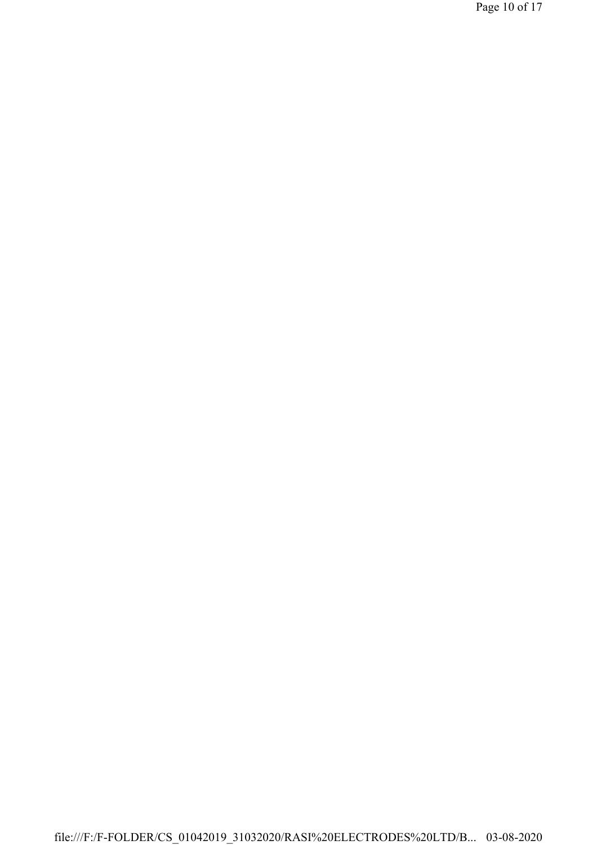Page 10 of 17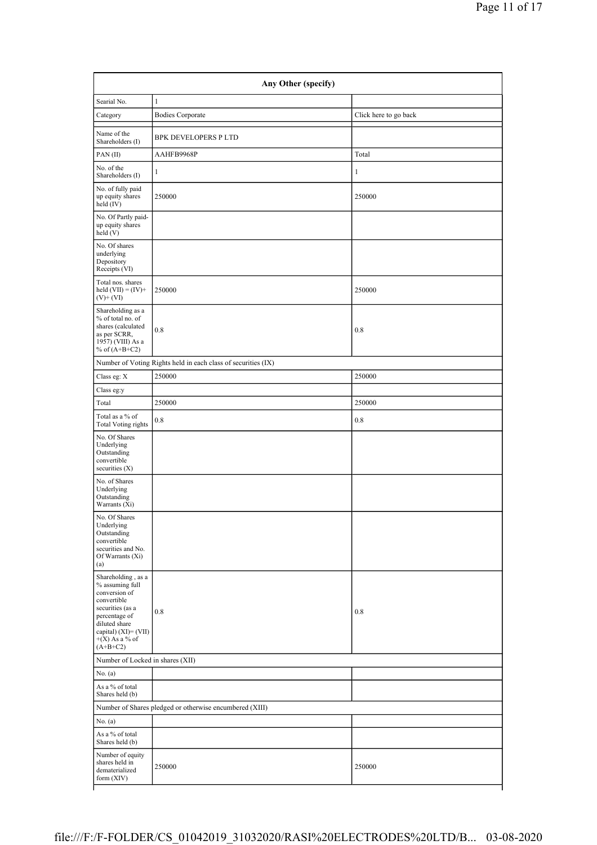| Searial No.                                                                                                                                                                           | $\mathbf{1}$                                                  |                       |  |
|---------------------------------------------------------------------------------------------------------------------------------------------------------------------------------------|---------------------------------------------------------------|-----------------------|--|
| Category                                                                                                                                                                              | <b>Bodies Corporate</b>                                       | Click here to go back |  |
| Name of the<br>Shareholders (I)                                                                                                                                                       | <b>BPK DEVELOPERS P LTD</b>                                   |                       |  |
| PAN(II)                                                                                                                                                                               | AAHFB9968P                                                    | Total                 |  |
| No. of the<br>Shareholders (I)                                                                                                                                                        | $1\,$                                                         | $\mathbf{1}$          |  |
| No. of fully paid<br>up equity shares<br>held (IV)                                                                                                                                    | 250000                                                        | 250000                |  |
| No. Of Partly paid-<br>up equity shares<br>held(V)                                                                                                                                    |                                                               |                       |  |
| No. Of shares<br>underlying<br>Depository<br>Receipts (VI)                                                                                                                            |                                                               |                       |  |
| Total nos. shares<br>held $(VII) = (IV) +$<br>$(V)+(VI)$                                                                                                                              | 250000                                                        | 250000                |  |
| Shareholding as a<br>% of total no. of<br>shares (calculated<br>as per SCRR,<br>1957) (VIII) As a<br>% of $(A+B+C2)$                                                                  | 0.8                                                           | 0.8                   |  |
|                                                                                                                                                                                       | Number of Voting Rights held in each class of securities (IX) |                       |  |
| Class eg: $\mathbf X$                                                                                                                                                                 | 250000                                                        | 250000                |  |
| Class eg:y                                                                                                                                                                            |                                                               |                       |  |
| Total                                                                                                                                                                                 | 250000                                                        | 250000                |  |
| Total as a % of<br><b>Total Voting rights</b>                                                                                                                                         | 0.8                                                           | $0.8\,$               |  |
| No. Of Shares<br>Underlying<br>Outstanding<br>convertible<br>securities $(X)$                                                                                                         |                                                               |                       |  |
| No. of Shares<br>Underlying<br>Outstanding<br>Warrants $(X_i)$                                                                                                                        |                                                               |                       |  |
| No. Of Shares<br>Underlying<br>Outstanding<br>convertible<br>securities and No.<br>Of Warrants (Xi)<br>(a)                                                                            |                                                               |                       |  |
| Shareholding, as a<br>% assuming full<br>conversion of<br>convertible<br>securities (as a<br>percentage of<br>diluted share<br>capital) (XI)= (VII)<br>$+(X)$ As a % of<br>$(A+B+C2)$ | 0.8                                                           | 0.8                   |  |
| Number of Locked in shares (XII)                                                                                                                                                      |                                                               |                       |  |
| No. (a)                                                                                                                                                                               |                                                               |                       |  |
| As a $\%$ of total<br>Shares held (b)                                                                                                                                                 |                                                               |                       |  |
|                                                                                                                                                                                       | Number of Shares pledged or otherwise encumbered (XIII)       |                       |  |
| No. (a)                                                                                                                                                                               |                                                               |                       |  |
| As a % of total<br>Shares held (b)                                                                                                                                                    |                                                               |                       |  |
| Number of equity<br>shares held in<br>dematerialized<br>form $(XIV)$                                                                                                                  | 250000                                                        | 250000                |  |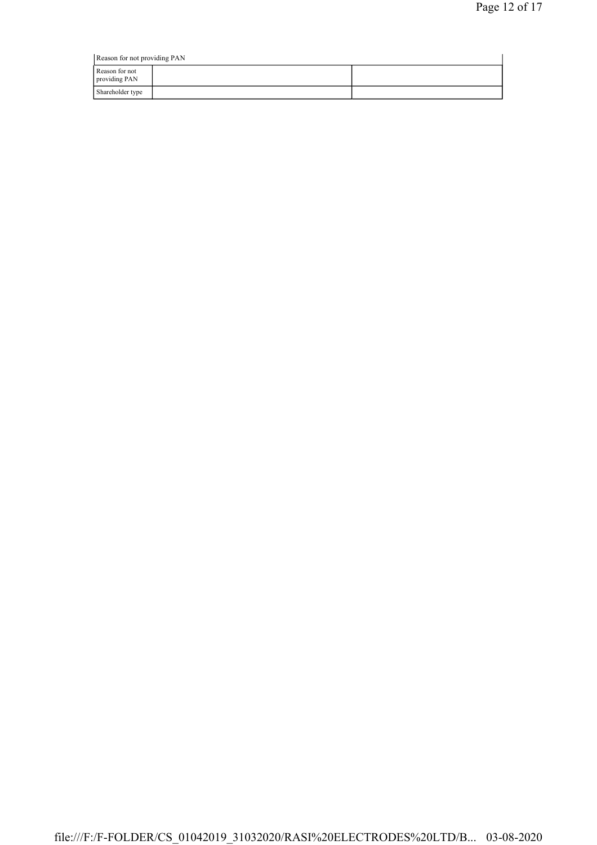| Reason for not providing PAN    |  |  |  |  |  |  |  |
|---------------------------------|--|--|--|--|--|--|--|
| Reason for not<br>providing PAN |  |  |  |  |  |  |  |
| Shareholder type                |  |  |  |  |  |  |  |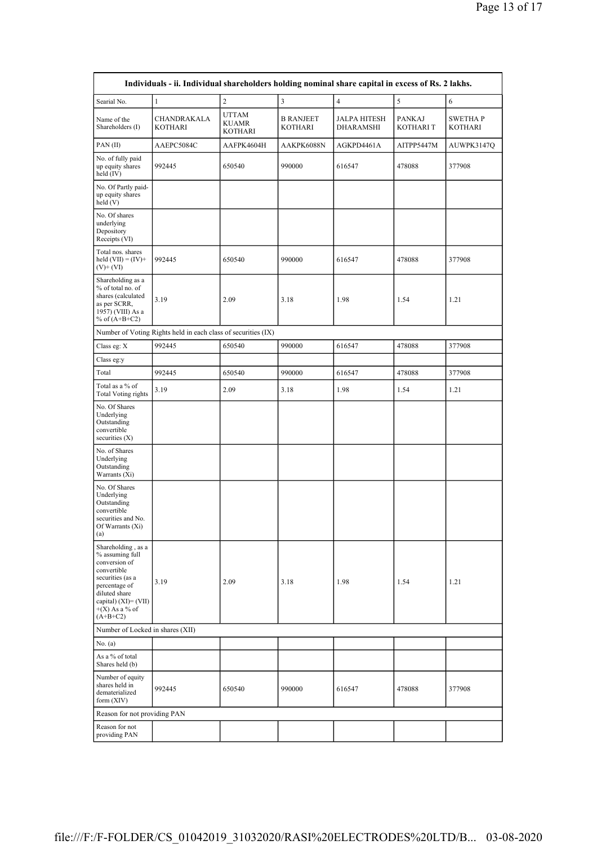|                                                                                                                                                                                       | Individuals - ii. Individual shareholders holding nominal share capital in excess of Rs. 2 lakhs. |                                         |                             |                                         |                                  |                           |  |  |  |  |  |
|---------------------------------------------------------------------------------------------------------------------------------------------------------------------------------------|---------------------------------------------------------------------------------------------------|-----------------------------------------|-----------------------------|-----------------------------------------|----------------------------------|---------------------------|--|--|--|--|--|
| Searial No.                                                                                                                                                                           | $\mathbf{1}$                                                                                      | $\overline{2}$                          | 3                           | $\overline{4}$                          | 5                                | 6                         |  |  |  |  |  |
| Name of the<br>Shareholders (I)                                                                                                                                                       | CHANDRAKALA<br><b>KOTHARI</b>                                                                     | <b>UTTAM</b><br><b>KUAMR</b><br>KOTHARI | <b>B RANJEET</b><br>KOTHARI | <b>JALPA HITESH</b><br><b>DHARAMSHI</b> | <b>PANKAJ</b><br><b>KOTHARIT</b> | <b>SWETHAP</b><br>KOTHARI |  |  |  |  |  |
| PAN(II)                                                                                                                                                                               | AAEPC5084C                                                                                        | AAFPK4604H                              | AAKPK6088N                  | AGKPD4461A                              | AITPP5447M                       | AUWPK3147Q                |  |  |  |  |  |
| No. of fully paid<br>up equity shares<br>held $(IV)$                                                                                                                                  | 992445                                                                                            | 650540                                  | 990000                      | 616547                                  | 478088                           | 377908                    |  |  |  |  |  |
| No. Of Partly paid-<br>up equity shares<br>held(V)                                                                                                                                    |                                                                                                   |                                         |                             |                                         |                                  |                           |  |  |  |  |  |
| No. Of shares<br>underlying<br>Depository<br>Receipts (VI)                                                                                                                            |                                                                                                   |                                         |                             |                                         |                                  |                           |  |  |  |  |  |
| Total nos. shares<br>held $(VII) = (IV) +$<br>$(V)$ + $(VI)$                                                                                                                          | 992445                                                                                            | 650540                                  | 990000                      | 616547                                  | 478088                           | 377908                    |  |  |  |  |  |
| Shareholding as a<br>% of total no. of<br>shares (calculated<br>as per SCRR,<br>1957) (VIII) As a<br>% of $(A+B+C2)$                                                                  | 3.19                                                                                              | 2.09                                    | 3.18                        | 1.98                                    | 1.54                             | 1.21                      |  |  |  |  |  |
|                                                                                                                                                                                       | Number of Voting Rights held in each class of securities (IX)                                     |                                         |                             |                                         |                                  |                           |  |  |  |  |  |
| Class eg: X                                                                                                                                                                           | 992445                                                                                            | 650540                                  | 990000                      | 616547                                  | 478088                           | 377908                    |  |  |  |  |  |
| Class eg:y                                                                                                                                                                            |                                                                                                   |                                         |                             |                                         |                                  |                           |  |  |  |  |  |
| Total                                                                                                                                                                                 | 992445                                                                                            | 650540                                  | 990000                      | 616547                                  | 478088                           | 377908                    |  |  |  |  |  |
| Total as a % of<br><b>Total Voting rights</b>                                                                                                                                         | 3.19                                                                                              | 2.09                                    | 3.18                        | 1.98                                    | 1.54                             | 1.21                      |  |  |  |  |  |
| No. Of Shares<br>Underlying<br>Outstanding<br>convertible<br>securities $(X)$                                                                                                         |                                                                                                   |                                         |                             |                                         |                                  |                           |  |  |  |  |  |
| No. of Shares<br>Underlying<br>Outstanding<br>Warrants (Xi)                                                                                                                           |                                                                                                   |                                         |                             |                                         |                                  |                           |  |  |  |  |  |
| No. Of Shares<br>Underlying<br>Outstanding<br>convertible<br>securities and No.<br>Of Warrants $(Xi)$<br>(a)                                                                          |                                                                                                   |                                         |                             |                                         |                                  |                           |  |  |  |  |  |
| Shareholding, as a<br>% assuming full<br>conversion of<br>convertible<br>securities (as a<br>percentage of<br>diluted share<br>capital) (XI)= (VII)<br>$+(X)$ As a % of<br>$(A+B+C2)$ | 3.19                                                                                              | 2.09                                    | 3.18                        | 1.98                                    | 1.54                             | 1.21                      |  |  |  |  |  |
| Number of Locked in shares (XII)                                                                                                                                                      |                                                                                                   |                                         |                             |                                         |                                  |                           |  |  |  |  |  |
| No. (a)                                                                                                                                                                               |                                                                                                   |                                         |                             |                                         |                                  |                           |  |  |  |  |  |
| As a % of total<br>Shares held (b)                                                                                                                                                    |                                                                                                   |                                         |                             |                                         |                                  |                           |  |  |  |  |  |
| Number of equity<br>shares held in<br>dematerialized<br>form (XIV)                                                                                                                    | 992445                                                                                            | 650540                                  | 990000                      | 616547                                  | 478088                           | 377908                    |  |  |  |  |  |
| Reason for not providing PAN                                                                                                                                                          |                                                                                                   |                                         |                             |                                         |                                  |                           |  |  |  |  |  |
| Reason for not<br>providing PAN                                                                                                                                                       |                                                                                                   |                                         |                             |                                         |                                  |                           |  |  |  |  |  |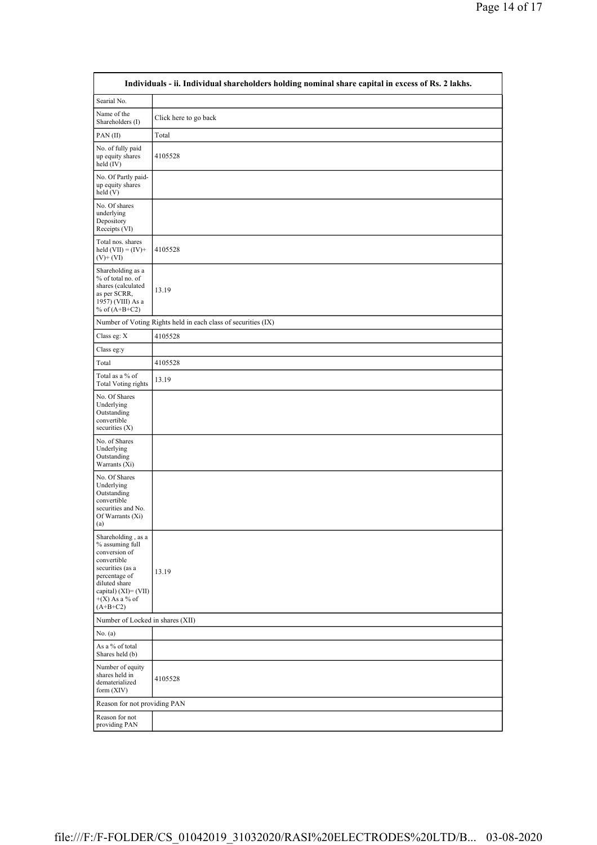| Individuals - ii. Individual shareholders holding nominal share capital in excess of Rs. 2 lakhs.                                                                                        |                                                               |  |  |  |  |  |  |
|------------------------------------------------------------------------------------------------------------------------------------------------------------------------------------------|---------------------------------------------------------------|--|--|--|--|--|--|
| Searial No.                                                                                                                                                                              |                                                               |  |  |  |  |  |  |
| Name of the<br>Shareholders (I)                                                                                                                                                          | Click here to go back                                         |  |  |  |  |  |  |
| PAN(II)                                                                                                                                                                                  | Total                                                         |  |  |  |  |  |  |
| No. of fully paid<br>up equity shares<br>held $(IV)$                                                                                                                                     | 4105528                                                       |  |  |  |  |  |  |
| No. Of Partly paid-<br>up equity shares<br>held (V)                                                                                                                                      |                                                               |  |  |  |  |  |  |
| No. Of shares<br>underlying<br>Depository<br>Receipts (VI)                                                                                                                               |                                                               |  |  |  |  |  |  |
| Total nos. shares<br>held $(VII) = (IV) +$<br>$(V)$ + $(VI)$                                                                                                                             | 4105528                                                       |  |  |  |  |  |  |
| Shareholding as a<br>% of total no. of<br>shares (calculated<br>as per SCRR,<br>1957) (VIII) As a<br>% of $(A+B+C2)$                                                                     | 13.19                                                         |  |  |  |  |  |  |
|                                                                                                                                                                                          | Number of Voting Rights held in each class of securities (IX) |  |  |  |  |  |  |
| Class eg: X                                                                                                                                                                              | 4105528                                                       |  |  |  |  |  |  |
| Class eg:y                                                                                                                                                                               |                                                               |  |  |  |  |  |  |
| Total                                                                                                                                                                                    | 4105528                                                       |  |  |  |  |  |  |
| Total as a % of<br><b>Total Voting rights</b>                                                                                                                                            | 13.19                                                         |  |  |  |  |  |  |
| No. Of Shares<br>Underlying<br>Outstanding<br>convertible<br>securities $(X)$                                                                                                            |                                                               |  |  |  |  |  |  |
| No. of Shares<br>Underlying<br>Outstanding<br>Warrants (Xi)                                                                                                                              |                                                               |  |  |  |  |  |  |
| No. Of Shares<br>Underlying<br>Outstanding<br>convertible<br>securities and No.<br>Of Warrants (Xi)<br>(a)                                                                               |                                                               |  |  |  |  |  |  |
| Shareholding, as a<br>% assuming full<br>conversion of<br>convertible<br>securities (as a<br>percentage of<br>diluted share<br>capital) $(XI) = (VII)$<br>$+(X)$ As a % of<br>$(A+B+C2)$ | 13.19                                                         |  |  |  |  |  |  |
| Number of Locked in shares (XII)                                                                                                                                                         |                                                               |  |  |  |  |  |  |
| No. (a)                                                                                                                                                                                  |                                                               |  |  |  |  |  |  |
| As a % of total<br>Shares held (b)                                                                                                                                                       |                                                               |  |  |  |  |  |  |
| Number of equity<br>shares held in<br>dematerialized<br>form $(XIV)$                                                                                                                     | 4105528                                                       |  |  |  |  |  |  |
| Reason for not providing PAN                                                                                                                                                             |                                                               |  |  |  |  |  |  |
| Reason for not<br>providing PAN                                                                                                                                                          |                                                               |  |  |  |  |  |  |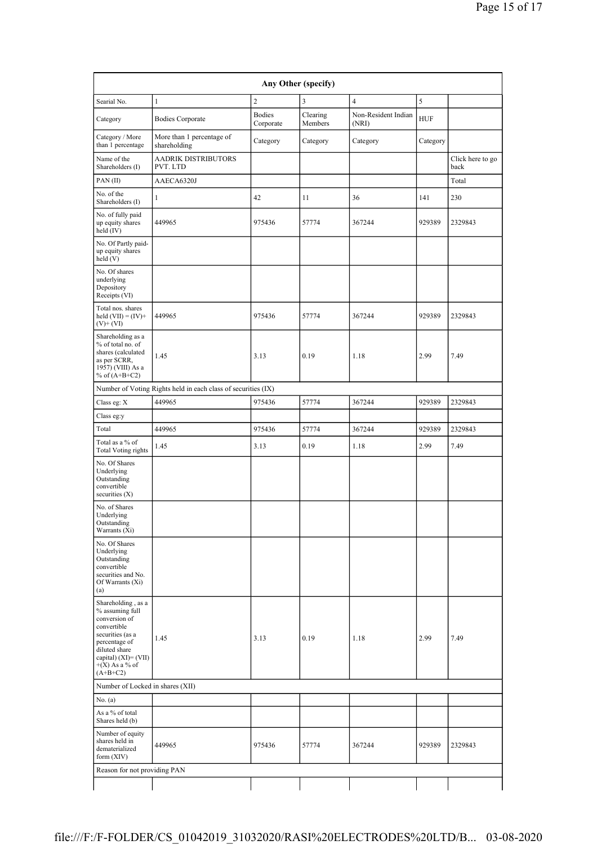| Any Other (specify)                                                                                                                                                                   |                                                               |                            |                     |                              |            |                          |  |  |  |  |
|---------------------------------------------------------------------------------------------------------------------------------------------------------------------------------------|---------------------------------------------------------------|----------------------------|---------------------|------------------------------|------------|--------------------------|--|--|--|--|
| Searial No.                                                                                                                                                                           | $\mathbf{1}$                                                  | $\overline{c}$             | $\overline{3}$      | $\overline{4}$               | 5          |                          |  |  |  |  |
| Category                                                                                                                                                                              | <b>Bodies Corporate</b>                                       | <b>Bodies</b><br>Corporate | Clearing<br>Members | Non-Resident Indian<br>(NRI) | <b>HUF</b> |                          |  |  |  |  |
| Category / More<br>than 1 percentage                                                                                                                                                  | More than 1 percentage of<br>shareholding                     | Category                   | Category            | Category                     | Category   |                          |  |  |  |  |
| Name of the<br>Shareholders (I)                                                                                                                                                       | <b>AADRIK DISTRIBUTORS</b><br>PVT. LTD                        |                            |                     |                              |            | Click here to go<br>back |  |  |  |  |
| PAN(II)                                                                                                                                                                               | AAECA6320J                                                    |                            |                     |                              |            | Total                    |  |  |  |  |
| No. of the<br>Shareholders (I)                                                                                                                                                        | 1                                                             | 42                         | 11                  | 36                           | 141        | 230                      |  |  |  |  |
| No. of fully paid<br>up equity shares<br>held (IV)                                                                                                                                    | 449965                                                        | 975436                     | 57774               | 367244                       | 929389     | 2329843                  |  |  |  |  |
| No. Of Partly paid-<br>up equity shares<br>held (V)                                                                                                                                   |                                                               |                            |                     |                              |            |                          |  |  |  |  |
| No. Of shares<br>underlying<br>Depository<br>Receipts (VI)                                                                                                                            |                                                               |                            |                     |                              |            |                          |  |  |  |  |
| Total nos. shares<br>held $(VII) = (IV) +$<br>$(V)$ + (VI)                                                                                                                            | 449965                                                        | 975436                     | 57774               | 367244                       | 929389     | 2329843                  |  |  |  |  |
| Shareholding as a<br>% of total no. of<br>shares (calculated<br>as per SCRR,<br>1957) (VIII) As a<br>% of $(A+B+C2)$                                                                  | 1.45                                                          | 3.13                       | 0.19                | 1.18                         | 2.99       | 7.49                     |  |  |  |  |
|                                                                                                                                                                                       | Number of Voting Rights held in each class of securities (IX) |                            |                     |                              |            |                          |  |  |  |  |
| Class eg: X                                                                                                                                                                           | 449965                                                        | 975436                     | 57774               | 367244                       | 929389     | 2329843                  |  |  |  |  |
| Class eg:y                                                                                                                                                                            |                                                               |                            |                     |                              |            |                          |  |  |  |  |
| Total                                                                                                                                                                                 | 449965                                                        | 975436                     | 57774               | 367244                       | 929389     | 2329843                  |  |  |  |  |
| Total as a % of<br><b>Total Voting rights</b>                                                                                                                                         | 1.45                                                          | 3.13                       | 0.19                | 1.18                         | 2.99       | 7.49                     |  |  |  |  |
| No. Of Shares<br>Underlying<br>Outstanding<br>convertible<br>securities $(X)$                                                                                                         |                                                               |                            |                     |                              |            |                          |  |  |  |  |
| No. of Shares<br>Underlying<br>Outstanding<br>Warrants (Xi)                                                                                                                           |                                                               |                            |                     |                              |            |                          |  |  |  |  |
| No. Of Shares<br>Underlying<br>Outstanding<br>convertible<br>securities and No.<br>Of Warrants (Xi)<br>(a)                                                                            |                                                               |                            |                     |                              |            |                          |  |  |  |  |
| Shareholding, as a<br>% assuming full<br>conversion of<br>convertible<br>securities (as a<br>percentage of<br>diluted share<br>capital) (XI)= (VII)<br>$+(X)$ As a % of<br>$(A+B+C2)$ | 1.45                                                          | 3.13                       | 0.19                | 1.18                         | 2.99       | 7.49                     |  |  |  |  |
| Number of Locked in shares (XII)                                                                                                                                                      |                                                               |                            |                     |                              |            |                          |  |  |  |  |
| No. (a)                                                                                                                                                                               |                                                               |                            |                     |                              |            |                          |  |  |  |  |
| As a % of total<br>Shares held (b)                                                                                                                                                    |                                                               |                            |                     |                              |            |                          |  |  |  |  |
| Number of equity<br>shares held in<br>dematerialized<br>form (XIV)                                                                                                                    | 449965                                                        | 975436                     | 57774               | 367244                       | 929389     | 2329843                  |  |  |  |  |
| Reason for not providing PAN                                                                                                                                                          |                                                               |                            |                     |                              |            |                          |  |  |  |  |
|                                                                                                                                                                                       |                                                               |                            |                     |                              |            |                          |  |  |  |  |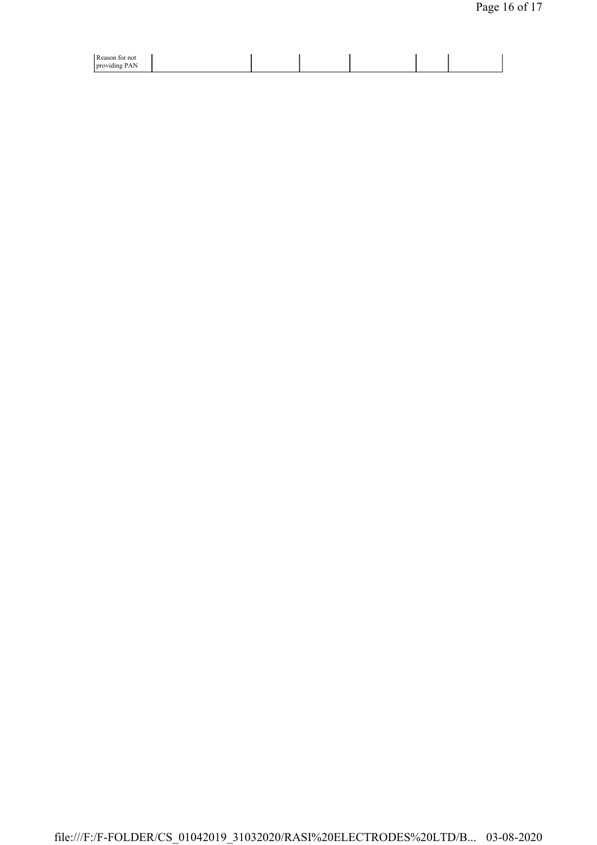| Reason for not |  |  |  |
|----------------|--|--|--|
| providing PAN  |  |  |  |